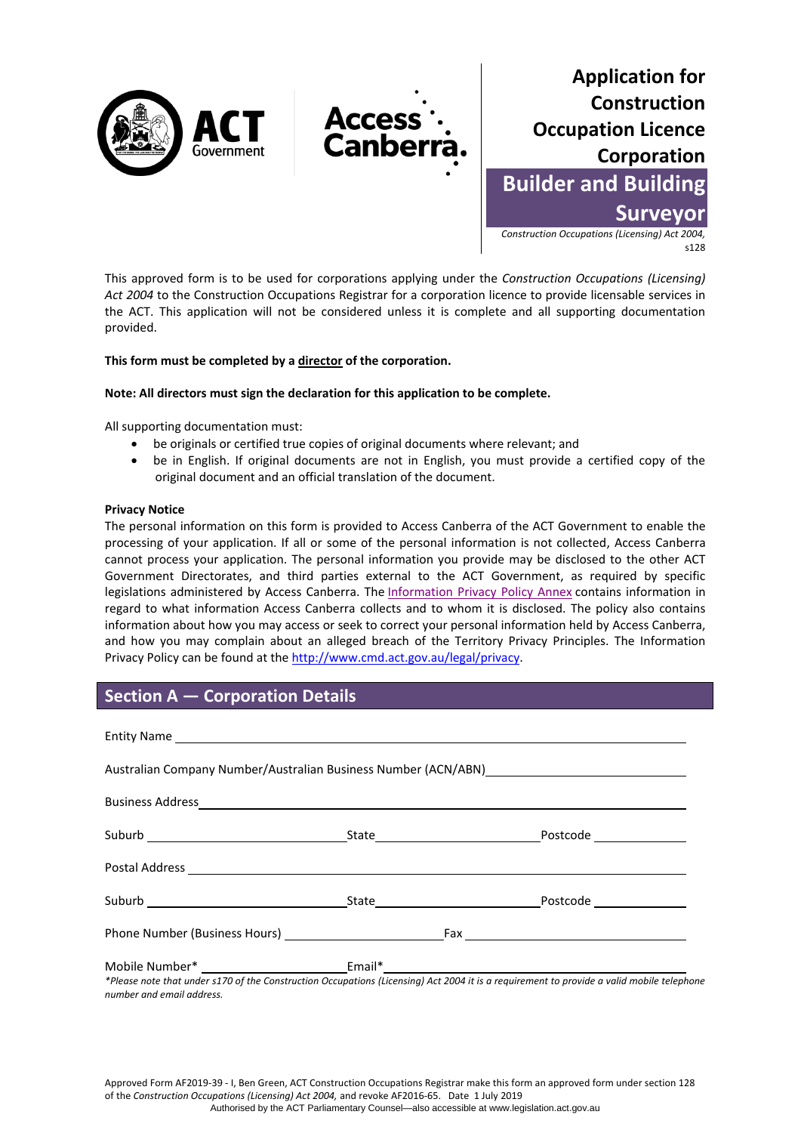



*Construction Occupations (Licensing) Act 2004,*  s128

This approved form is to be used for corporations applying under the *Construction Occupations (Licensing) Act 2004* to the Construction Occupations Registrar for a corporation licence to provide licensable services in the ACT. This application will not be considered unless it is complete and all supporting documentation provided.

**Access** Canber

### **This form must be completed by a director of the corporation.**

#### **Note: All directors must sign the declaration for this application to be complete.**

All supporting documentation must:

- be originals or certified true copies of original documents where relevant; and
- be in English. If original documents are not in English, you must provide a certified copy of the original document and an official translation of the document.

#### **Privacy Notice**

The personal information on this form is provided to Access Canberra of the ACT Government to enable the processing of your application. If all or some of the personal information is not collected, Access Canberra cannot process your application. The personal information you provide may be disclosed to the other ACT Government Directorates, and third parties external to the ACT Government, as required by specific legislations administered by Access Canberra. The [Information Privacy Policy Annex](http://www.environment.act.gov.au/__data/assets/pdf_file/0006/633741/Information-Privacy-Policy-Annex.pdf) contains information in regard to what information Access Canberra collects and to whom it is disclosed. The policy also contains information about how you may access or seek to correct your personal information held by Access Canberra, and how you may complain about an alleged breach of the Territory Privacy Principles. The Information Privacy Policy can be found at the [http://www.cmd.act.gov.au/legal/privacy.](http://cmd.act.gov.au/legal/privacy_statement) 

## **Section A — Corporation Details**

|  | *Dlages note that under s170 of the Construction Oscupations (Lisonsing) Ast 2004 it is a requirement to provide a valid mobile telephon |
|--|------------------------------------------------------------------------------------------------------------------------------------------|

*\*Please note that under s170 of the Construction Occupations (Licensing) Act 2004 it is a requirement to provide a valid mobile telephone number and email address.*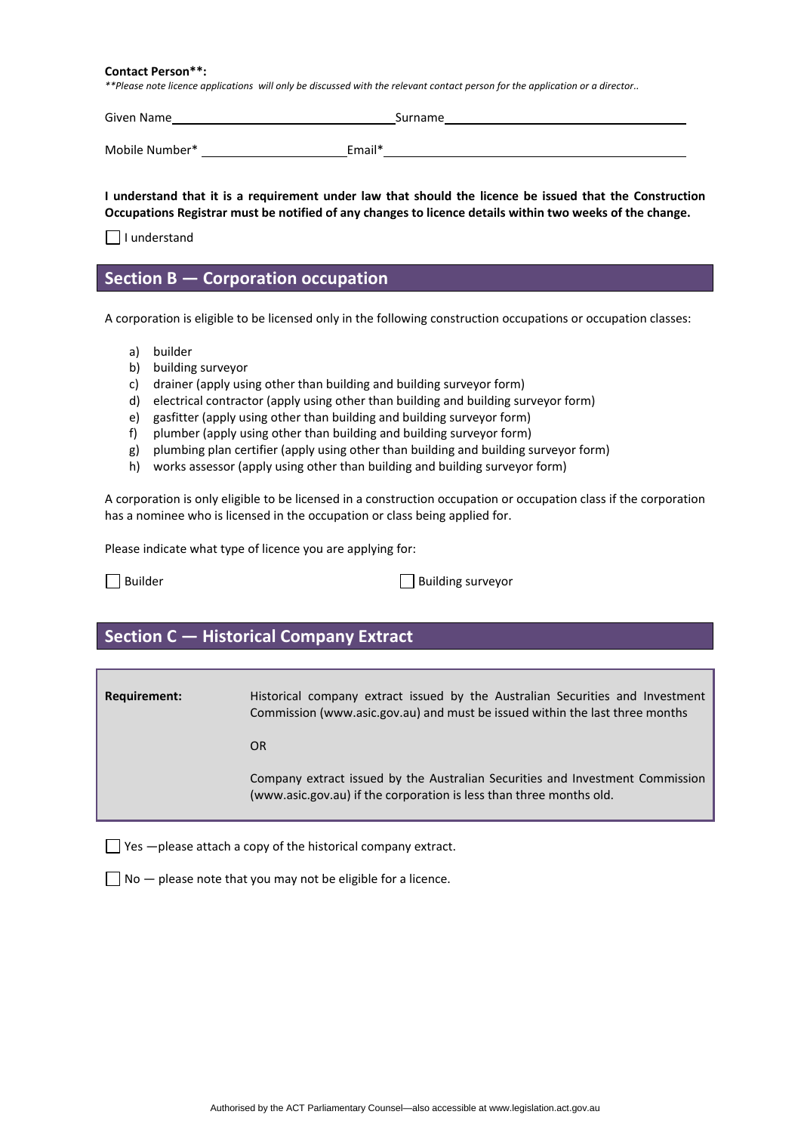#### **Contact Person\*\*:**

*\*\*Please note licence applications will only be discussed with the relevant contact person for the application or a director..*

| Given Name     | Surname |
|----------------|---------|
| Mobile Number* | Email*  |

**I understand that it is a requirement under law that should the licence be issued that the Construction Occupations Registrar must be notified of any changes to licence details within two weeks of the change.** 

 $\Box$  I understand

## **Section B — Corporation occupation**

A corporation is eligible to be licensed only in the following construction occupations or occupation classes:

- a) builder
- b) building surveyor
- c) drainer (apply using other than building and building surveyor form)
- d) electrical contractor (apply using other than building and building surveyor form)
- e) gasfitter (apply using other than building and building surveyor form)
- f) plumber (apply using other than building and building surveyor form)
- g) plumbing plan certifier (apply using other than building and building surveyor form)
- h) works assessor (apply using other than building and building surveyor form)

A corporation is only eligible to be licensed in a construction occupation or occupation class if the corporation has a nominee who is licensed in the occupation or class being applied for.

Please indicate what type of licence you are applying for:

Builder Builder **Building surveyor** 

## **Section C — Historical Company Extract**

**Requirement:** Historical company extract issued by the Australian Securities and Investment Commission [\(www.asic.gov.au\)](http://www.asic.gov.au/) and must be issued within the last three months

OR

Company extract issued by the Australian Securities and Investment Commission [\(www.asic.gov.au\)](http://www.asic.gov.au/) if the corporation is less than three months old.

 $\Box$  Yes  $-$ please attach a copy of the historical company extract.

 $\Box$  No  $-$  please note that you may not be eligible for a licence.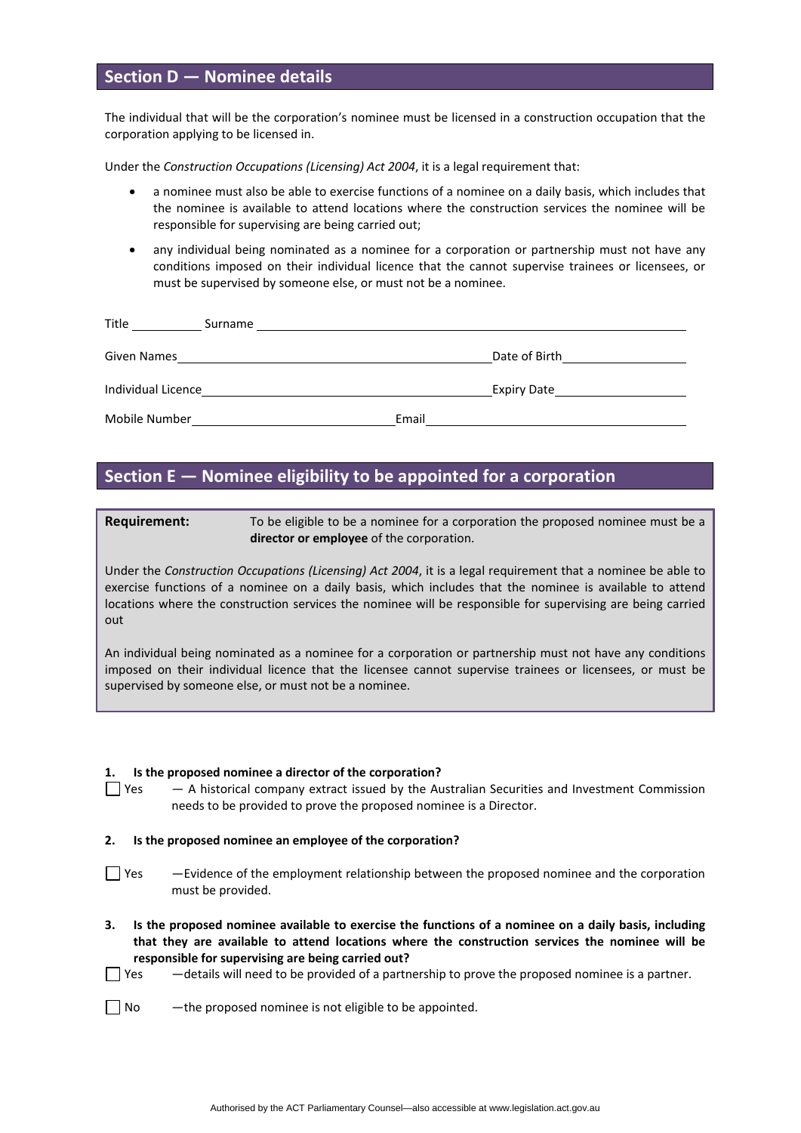## **Section D — Nominee details**

The individual that will be the corporation's nominee must be licensed in a construction occupation that the corporation applying to be licensed in.

Under the *Construction Occupations (Licensing) Act 2004*, it is a legal requirement that:

- a nominee must also be able to exercise functions of a nominee on a daily basis, which includes that the nominee is available to attend locations where the construction services the nominee will be responsible for supervising are being carried out;
- any individual being nominated as a nominee for a corporation or partnership must not have any conditions imposed on their individual licence that the cannot supervise trainees or licensees, or must be supervised by someone else, or must not be a nominee.

| Title<br>Surname   |       |               |
|--------------------|-------|---------------|
| Given Names        |       | Date of Birth |
| Individual Licence |       | Expiry Date   |
| Mobile Number      | Email |               |

## **Section E — Nominee eligibility to be appointed for a corporation**

**Requirement:** To be eligible to be a nominee for a corporation the proposed nominee must be a **director or employee** of the corporation.

Under the *Construction Occupations (Licensing) Act 2004*, it is a legal requirement that a nominee be able to exercise functions of a nominee on a daily basis, which includes that the nominee is available to attend locations where the construction services the nominee will be responsible for supervising are being carried out

An individual being nominated as a nominee for a corporation or partnership must not have any conditions imposed on their individual licence that the licensee cannot supervise trainees or licensees, or must be supervised by someone else, or must not be a nominee.

#### **1. Is the proposed nominee a director of the corporation?**

 $\Box$  Yes  $A$  historical company extract issued by the Australian Securities and Investment Commission needs to be provided to prove the proposed nominee is a Director.

#### **2. Is the proposed nominee an employee of the corporation?**

- $\Box$  Yes  $-$ Evidence of the employment relationship between the proposed nominee and the corporation must be provided.
- **3. Is the proposed nominee available to exercise the functions of a nominee on a daily basis, including that they are available to attend locations where the construction services the nominee will be responsible for supervising are being carried out?**
- $\Box$  Yes  $\Box$  details will need to be provided of a partnership to prove the proposed nominee is a partner.
- $\Box$  No  $-$  the proposed nominee is not eligible to be appointed.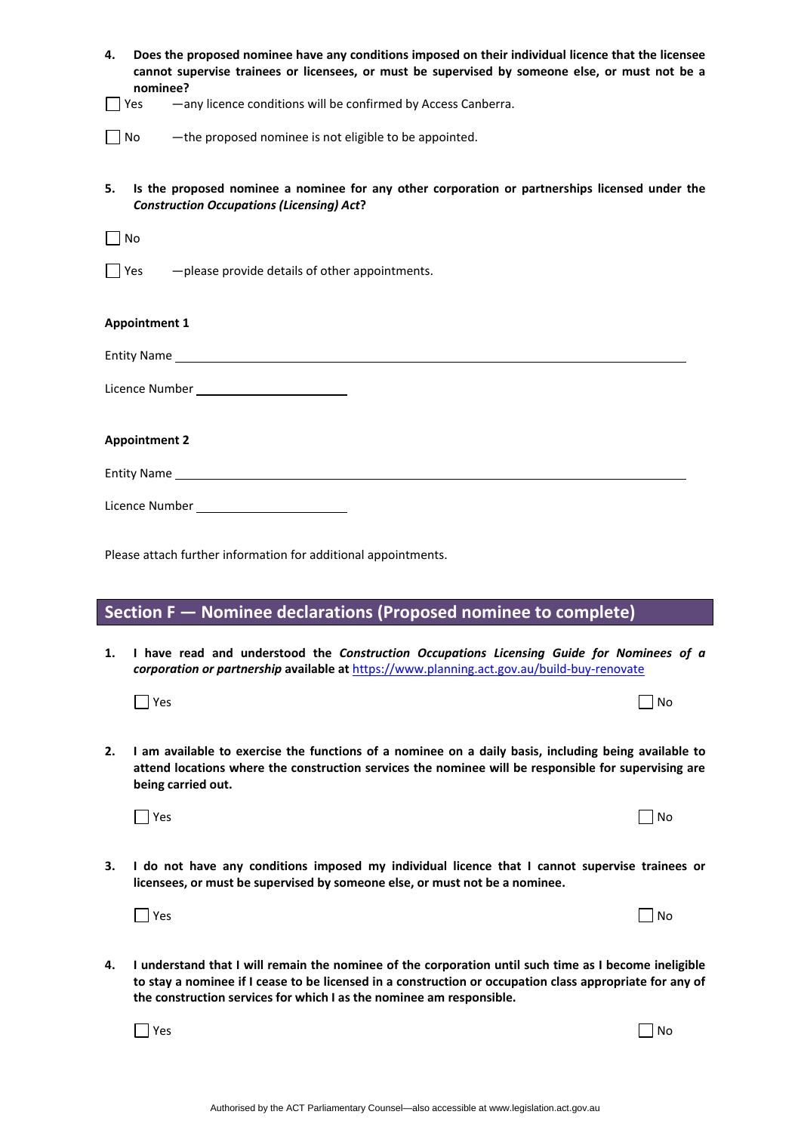| Does the proposed nominee have any conditions imposed on their individual licence that the licensee<br>4.<br>cannot supervise trainees or licensees, or must be supervised by someone else, or must not be a<br>nominee? |                                                                                                                                                                                                                                                                                           |  |  |  |
|--------------------------------------------------------------------------------------------------------------------------------------------------------------------------------------------------------------------------|-------------------------------------------------------------------------------------------------------------------------------------------------------------------------------------------------------------------------------------------------------------------------------------------|--|--|--|
| Yes                                                                                                                                                                                                                      | -any licence conditions will be confirmed by Access Canberra.                                                                                                                                                                                                                             |  |  |  |
| No                                                                                                                                                                                                                       | -the proposed nominee is not eligible to be appointed.                                                                                                                                                                                                                                    |  |  |  |
| 5.                                                                                                                                                                                                                       | Is the proposed nominee a nominee for any other corporation or partnerships licensed under the<br><b>Construction Occupations (Licensing) Act?</b>                                                                                                                                        |  |  |  |
| No                                                                                                                                                                                                                       |                                                                                                                                                                                                                                                                                           |  |  |  |
| Yes                                                                                                                                                                                                                      | -please provide details of other appointments.                                                                                                                                                                                                                                            |  |  |  |
|                                                                                                                                                                                                                          | <b>Appointment 1</b>                                                                                                                                                                                                                                                                      |  |  |  |
|                                                                                                                                                                                                                          | Entity Name experience and the second contract of the second contract of the second contract of the second contract of the second contract of the second contract of the second contract of the second contract of the second                                                             |  |  |  |
|                                                                                                                                                                                                                          | Licence Number ___________________________                                                                                                                                                                                                                                                |  |  |  |
| <b>Appointment 2</b>                                                                                                                                                                                                     |                                                                                                                                                                                                                                                                                           |  |  |  |
|                                                                                                                                                                                                                          | Entity Name contract the contract of the contract of the contract of the contract of the contract of the contract of the contract of the contract of the contract of the contract of the contract of the contract of the contr                                                            |  |  |  |
|                                                                                                                                                                                                                          | Licence Number _____________________________                                                                                                                                                                                                                                              |  |  |  |
|                                                                                                                                                                                                                          |                                                                                                                                                                                                                                                                                           |  |  |  |
|                                                                                                                                                                                                                          | Please attach further information for additional appointments.                                                                                                                                                                                                                            |  |  |  |
|                                                                                                                                                                                                                          | Section F - Nominee declarations (Proposed nominee to complete)                                                                                                                                                                                                                           |  |  |  |
| ı.                                                                                                                                                                                                                       | I have read and understood the Construction Occupations Licensing Guide for Nominees of a<br>corporation or partnership available at https://www.planning.act.gov.au/build-buy-renovate                                                                                                   |  |  |  |
|                                                                                                                                                                                                                          | $\Box$ Yes<br>No                                                                                                                                                                                                                                                                          |  |  |  |
| 2.                                                                                                                                                                                                                       | I am available to exercise the functions of a nominee on a daily basis, including being available to<br>attend locations where the construction services the nominee will be responsible for supervising are<br>being carried out.                                                        |  |  |  |
|                                                                                                                                                                                                                          | $\exists$ Yes<br>No                                                                                                                                                                                                                                                                       |  |  |  |
| з.                                                                                                                                                                                                                       | I do not have any conditions imposed my individual licence that I cannot supervise trainees or<br>licensees, or must be supervised by someone else, or must not be a nominee.                                                                                                             |  |  |  |
|                                                                                                                                                                                                                          | $\vert$ Yes<br>No                                                                                                                                                                                                                                                                         |  |  |  |
| 4.                                                                                                                                                                                                                       | I understand that I will remain the nominee of the corporation until such time as I become ineligible<br>to stay a nominee if I cease to be licensed in a construction or occupation class appropriate for any of<br>the construction services for which I as the nominee am responsible. |  |  |  |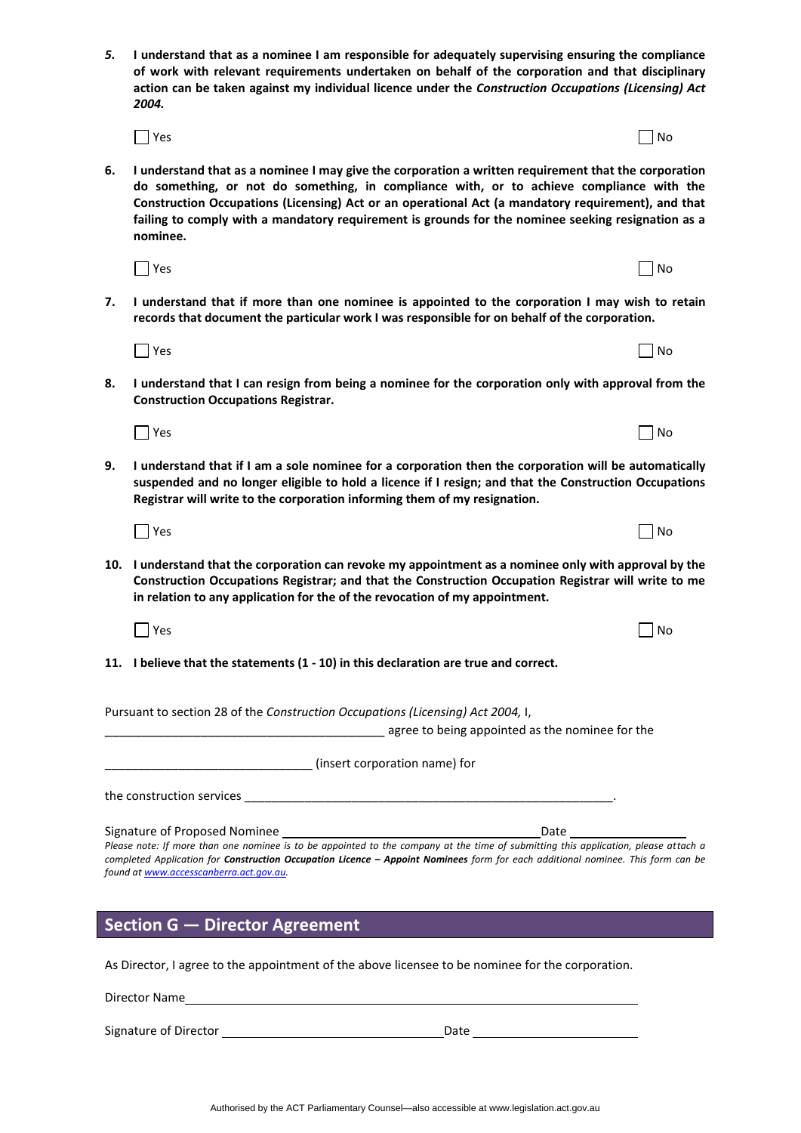| 5. | I understand that as a nominee I am responsible for adequately supervising ensuring the compliance<br>of work with relevant requirements undertaken on behalf of the corporation and that disciplinary<br>action can be taken against my individual licence under the Construction Occupations (Licensing) Act<br>2004.                                                                                                  |                                                                                                 |  |  |
|----|--------------------------------------------------------------------------------------------------------------------------------------------------------------------------------------------------------------------------------------------------------------------------------------------------------------------------------------------------------------------------------------------------------------------------|-------------------------------------------------------------------------------------------------|--|--|
|    | □ Yes                                                                                                                                                                                                                                                                                                                                                                                                                    | No                                                                                              |  |  |
| 6. | I understand that as a nominee I may give the corporation a written requirement that the corporation<br>do something, or not do something, in compliance with, or to achieve compliance with the<br>Construction Occupations (Licensing) Act or an operational Act (a mandatory requirement), and that<br>failing to comply with a mandatory requirement is grounds for the nominee seeking resignation as a<br>nominee. |                                                                                                 |  |  |
|    | $\blacksquare$ Yes                                                                                                                                                                                                                                                                                                                                                                                                       | No                                                                                              |  |  |
| 7. | records that document the particular work I was responsible for on behalf of the corporation.                                                                                                                                                                                                                                                                                                                            | I understand that if more than one nominee is appointed to the corporation I may wish to retain |  |  |
|    | $\Box$ Yes                                                                                                                                                                                                                                                                                                                                                                                                               | No                                                                                              |  |  |
| 8. | I understand that I can resign from being a nominee for the corporation only with approval from the<br><b>Construction Occupations Registrar.</b>                                                                                                                                                                                                                                                                        |                                                                                                 |  |  |
|    | $\overline{\phantom{a}}$ Yes                                                                                                                                                                                                                                                                                                                                                                                             | No                                                                                              |  |  |
| 9. | I understand that if I am a sole nominee for a corporation then the corporation will be automatically<br>suspended and no longer eligible to hold a licence if I resign; and that the Construction Occupations<br>Registrar will write to the corporation informing them of my resignation.                                                                                                                              |                                                                                                 |  |  |
|    | $\Box$ Yes                                                                                                                                                                                                                                                                                                                                                                                                               | No                                                                                              |  |  |
|    | 10. I understand that the corporation can revoke my appointment as a nominee only with approval by the<br>Construction Occupations Registrar; and that the Construction Occupation Registrar will write to me<br>in relation to any application for the of the revocation of my appointment.                                                                                                                             |                                                                                                 |  |  |
|    | Yes                                                                                                                                                                                                                                                                                                                                                                                                                      | No                                                                                              |  |  |
|    | 11. I believe that the statements (1 - 10) in this declaration are true and correct.                                                                                                                                                                                                                                                                                                                                     |                                                                                                 |  |  |
|    | Pursuant to section 28 of the Construction Occupations (Licensing) Act 2004, I,<br>agree to being appointed as the nominee for the matter of the same and agree to being appointed as the nominee for the                                                                                                                                                                                                                |                                                                                                 |  |  |
|    | <b>Marie 19 (insert corporation name) for</b> (insert corporation name) for                                                                                                                                                                                                                                                                                                                                              |                                                                                                 |  |  |
|    |                                                                                                                                                                                                                                                                                                                                                                                                                          |                                                                                                 |  |  |
|    |                                                                                                                                                                                                                                                                                                                                                                                                                          |                                                                                                 |  |  |
|    | completed Application for Construction Occupation Licence - Appoint Nominees form for each additional nominee. This form can be<br>found at www.accesscanberra.act.gov.au.                                                                                                                                                                                                                                               |                                                                                                 |  |  |
|    | Section G - Director Agreement<br><u> 1980 - Jan Sterling van die Sterling van die Sterling van die Sterling van die Sterling van die Sterling van</u>                                                                                                                                                                                                                                                                   |                                                                                                 |  |  |

As Director, I agree to the appointment of the above licensee to be nominee for the corporation.

Director Name

Signature of Director Date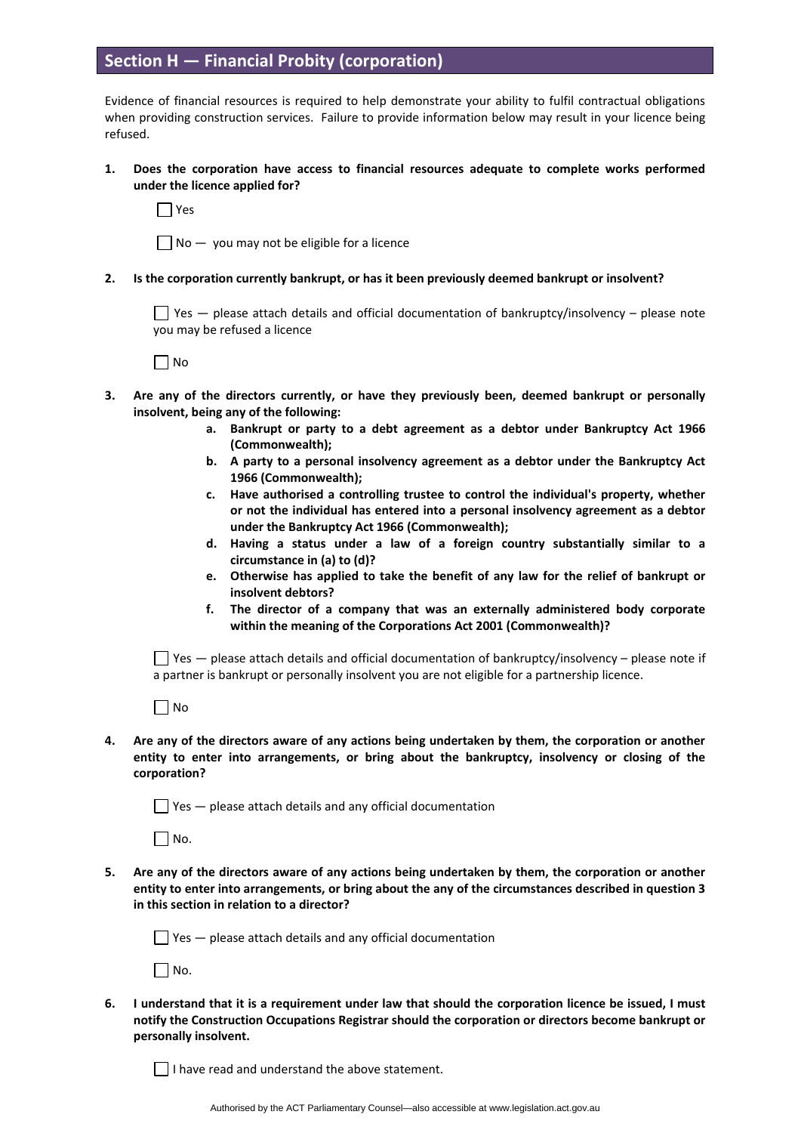# **Section H — Financial Probity (corporation)**

Evidence of financial resources is required to help demonstrate your ability to fulfil contractual obligations when providing construction services. Failure to provide information below may result in your licence being refused.

### **1. Does the corporation have access to financial resources adequate to complete works performed under the licence applied for?**

Yes

 $\Box$  No  $-$  you may not be eligible for a licence

#### **2. Is the corporation currently bankrupt, or has it been previously deemed bankrupt or insolvent?**

 $\Box$  Yes  $-$  please attach details and official documentation of bankruptcy/insolvency  $-$  please note you may be refused a licence

 $\Box$  No

- **3. Are any of the directors currently, or have they previously been, deemed bankrupt or personally insolvent, being any of the following:**
	- **a. Bankrupt or party to a debt agreement as a debtor under Bankruptcy Act 1966 (Commonwealth);**
	- **b. A party to a personal insolvency agreement as a debtor under the Bankruptcy Act 1966 (Commonwealth);**
	- **c. Have authorised a controlling trustee to control the individual's property, whether or not the individual has entered into a personal insolvency agreement as a debtor under the Bankruptcy Act 1966 (Commonwealth);**
	- **d. Having a status under a law of a foreign country substantially similar to a circumstance in (a) to (d)?**
	- **e. Otherwise has applied to take the benefit of any law for the relief of bankrupt or insolvent debtors?**
	- **f. The director of a company that was an externally administered body corporate within the meaning of the Corporations Act 2001 (Commonwealth)?**

 $\Box$  Yes — please attach details and official documentation of bankruptcy/insolvency – please note if a partner is bankrupt or personally insolvent you are not eligible for a partnership licence.

 $\Box$  No

**4. Are any of the directors aware of any actions being undertaken by them, the corporation or another entity to enter into arrangements, or bring about the bankruptcy, insolvency or closing of the corporation?** 

 $\Box$  Yes  $-$  please attach details and any official documentation

 $\Box$  No.

**5. Are any of the directors aware of any actions being undertaken by them, the corporation or another entity to enter into arrangements, or bring about the any of the circumstances described in question 3 in this section in relation to a director?**

 $\Box$  Yes  $-$  please attach details and any official documentation

 $\Box$  No.

**6. I understand that it is a requirement under law that should the corporation licence be issued, I must notify the Construction Occupations Registrar should the corporation or directors become bankrupt or personally insolvent.** 

 $\Box$  I have read and understand the above statement.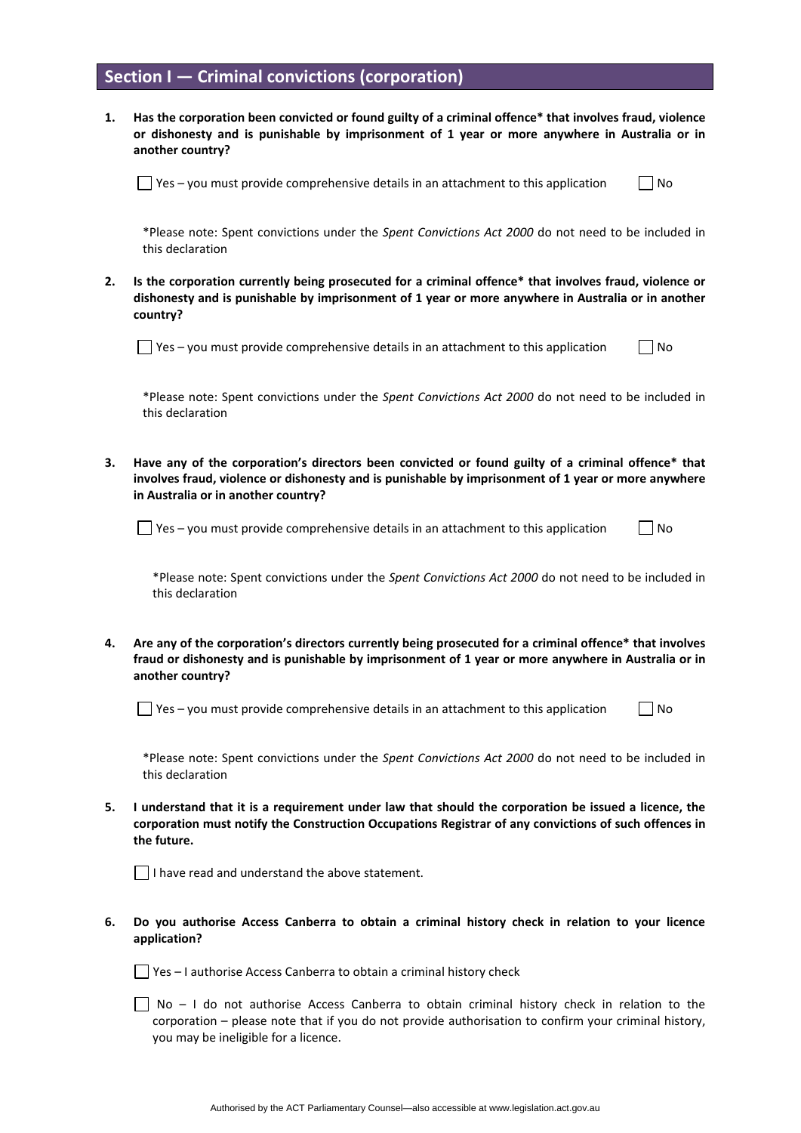## **Section I — Criminal convictions (corporation)**

**1. Has the corporation been convicted or found guilty of a criminal offence\* that involves fraud, violence or dishonesty and is punishable by imprisonment of 1 year or more anywhere in Australia or in another country?** 

 $\Box$  Yes – you must provide comprehensive details in an attachment to this application  $\Box$  No

\*Please note: Spent convictions under the *Spent Convictions Act 2000* do not need to be included in this declaration

**2. Is the corporation currently being prosecuted for a criminal offence\* that involves fraud, violence or dishonesty and is punishable by imprisonment of 1 year or more anywhere in Australia or in another country?** 

 $\Box$  Yes – you must provide comprehensive details in an attachment to this application  $\Box$  No

\*Please note: Spent convictions under the *Spent Convictions Act 2000* do not need to be included in this declaration

**3. Have any of the corporation's directors been convicted or found guilty of a criminal offence\* that involves fraud, violence or dishonesty and is punishable by imprisonment of 1 year or more anywhere in Australia or in another country?** 

 $\Box$  Yes – you must provide comprehensive details in an attachment to this application  $\Box$  No

\*Please note: Spent convictions under the *Spent Convictions Act 2000* do not need to be included in this declaration

**4. Are any of the corporation's directors currently being prosecuted for a criminal offence\* that involves fraud or dishonesty and is punishable by imprisonment of 1 year or more anywhere in Australia or in another country?** 

 $\Box$  Yes – you must provide comprehensive details in an attachment to this application  $\Box$  No

\*Please note: Spent convictions under the *Spent Convictions Act 2000* do not need to be included in this declaration

**5. I understand that it is a requirement under law that should the corporation be issued a licence, the corporation must notify the Construction Occupations Registrar of any convictions of such offences in the future.** 

 $\Box$  I have read and understand the above statement.

**6. Do you authorise Access Canberra to obtain a criminal history check in relation to your licence application?**

 $\Box$  Yes – I authorise Access Canberra to obtain a criminal history check

 $\Box$  No – I do not authorise Access Canberra to obtain criminal history check in relation to the corporation – please note that if you do not provide authorisation to confirm your criminal history, you may be ineligible for a licence.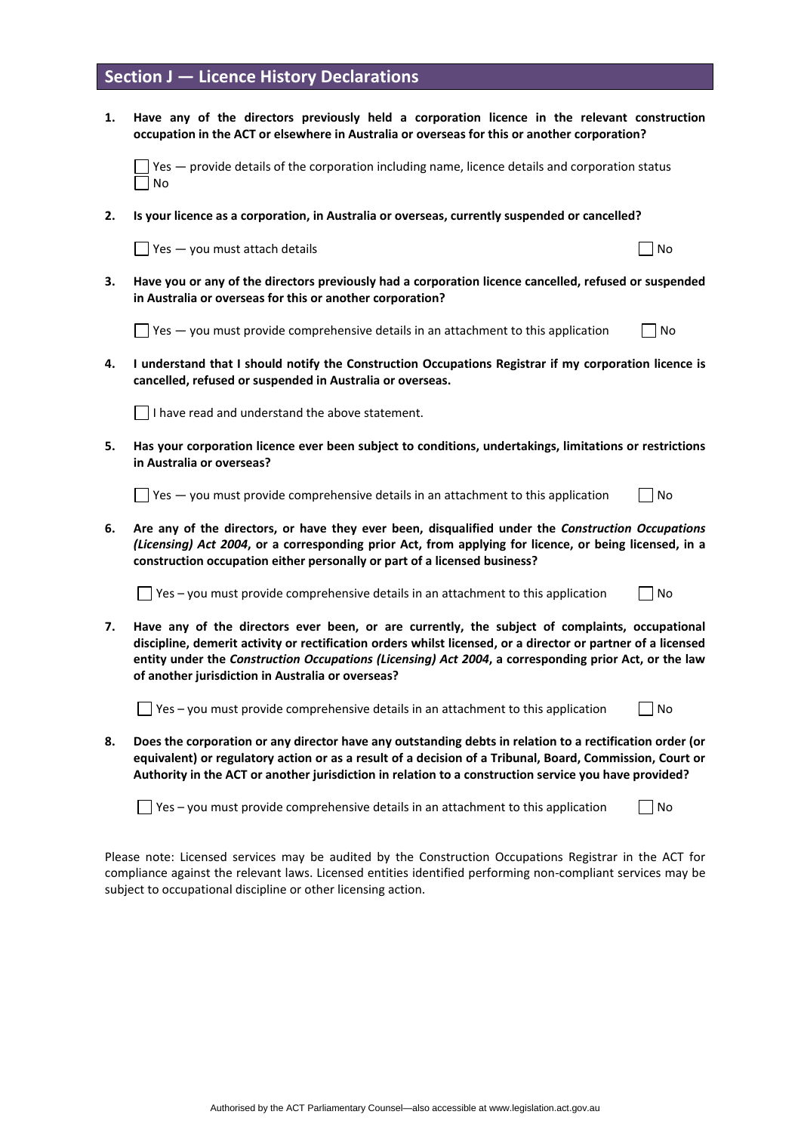## **Section J — Licence History Declarations**

**1. Have any of the directors previously held a corporation licence in the relevant construction occupation in the ACT or elsewhere in Australia or overseas for this or another corporation?** 

 $\Box$  Yes  $-$  provide details of the corporation including name, licence details and corporation status  $\Box$  No

**2. Is your licence as a corporation, in Australia or overseas, currently suspended or cancelled?** 

 $\Box$  Yes — you must attach details  $\Box$  No

**3. Have you or any of the directors previously had a corporation licence cancelled, refused or suspended in Australia or overseas for this or another corporation?** 

 $\Box$  Yes  $-$  you must provide comprehensive details in an attachment to this application  $\Box$  No

**4. I understand that I should notify the Construction Occupations Registrar if my corporation licence is cancelled, refused or suspended in Australia or overseas.** 

 $\vert \vert$  I have read and understand the above statement.

**5. Has your corporation licence ever been subject to conditions, undertakings, limitations or restrictions in Australia or overseas?** 

 $\Box$  Yes — you must provide comprehensive details in an attachment to this application  $\Box$  No

**6. Are any of the directors, or have they ever been, disqualified under the** *Construction Occupations (Licensing) Act 2004***, or a corresponding prior Act, from applying for licence, or being licensed, in a construction occupation either personally or part of a licensed business?** 

 $\Box$  Yes – you must provide comprehensive details in an attachment to this application  $\Box$  No

**7. Have any of the directors ever been, or are currently, the subject of complaints, occupational discipline, demerit activity or rectification orders whilst licensed, or a director or partner of a licensed entity under the** *Construction Occupations (Licensing) Act 2004***, a corresponding prior Act, or the law of another jurisdiction in Australia or overseas?** 

 $\Box$  Yes – you must provide comprehensive details in an attachment to this application  $\Box$  No

**8. Does the corporation or any director have any outstanding debts in relation to a rectification order (or equivalent) or regulatory action or as a result of a decision of a Tribunal, Board, Commission, Court or Authority in the ACT or another jurisdiction in relation to a construction service you have provided?**

 $\Box$  Yes – you must provide comprehensive details in an attachment to this application  $\Box$  No

Please note: Licensed services may be audited by the Construction Occupations Registrar in the ACT for compliance against the relevant laws. Licensed entities identified performing non-compliant services may be subject to occupational discipline or other licensing action.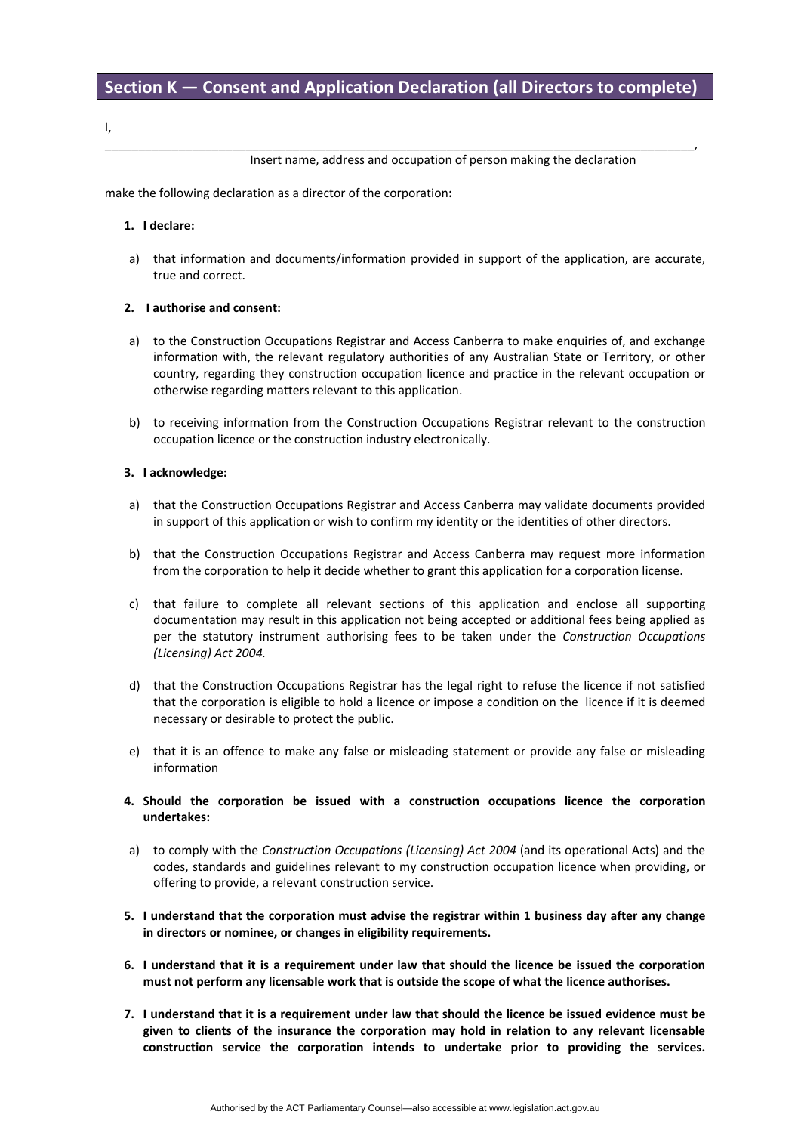\_\_\_\_\_\_\_\_\_\_\_\_\_\_\_\_\_\_\_\_\_\_\_\_\_\_\_\_\_\_\_\_\_\_\_\_\_\_\_\_\_\_\_\_\_\_\_\_\_\_\_\_\_\_\_\_\_\_\_\_\_\_\_\_\_\_\_\_\_\_\_\_\_\_\_\_\_\_\_\_\_\_\_\_\_\_\_\_,

I,

Insert name, address and occupation of person making the declaration

make the following declaration as a director of the corporation**:**

#### **1. I declare:**

a) that information and documents/information provided in support of the application, are accurate, true and correct.

### **2. I authorise and consent:**

- a) to the Construction Occupations Registrar and Access Canberra to make enquiries of, and exchange information with, the relevant regulatory authorities of any Australian State or Territory, or other country, regarding they construction occupation licence and practice in the relevant occupation or otherwise regarding matters relevant to this application.
- b) to receiving information from the Construction Occupations Registrar relevant to the construction occupation licence or the construction industry electronically.

#### **3. I acknowledge:**

- a) that the Construction Occupations Registrar and Access Canberra may validate documents provided in support of this application or wish to confirm my identity or the identities of other directors.
- b) that the Construction Occupations Registrar and Access Canberra may request more information from the corporation to help it decide whether to grant this application for a corporation license.
- c) that failure to complete all relevant sections of this application and enclose all supporting documentation may result in this application not being accepted or additional fees being applied as per the statutory instrument authorising fees to be taken under the *Construction Occupations (Licensing) Act 2004.*
- d) that the Construction Occupations Registrar has the legal right to refuse the licence if not satisfied that the corporation is eligible to hold a licence or impose a condition on the licence if it is deemed necessary or desirable to protect the public.
- e) that it is an offence to make any false or misleading statement or provide any false or misleading information
- **4. Should the corporation be issued with a construction occupations licence the corporation undertakes:**
- a) to comply with the *Construction Occupations (Licensing) Act 2004* (and its operational Acts) and the codes, standards and guidelines relevant to my construction occupation licence when providing, or offering to provide, a relevant construction service.
- **5. I understand that the corporation must advise the registrar within 1 business day after any change in directors or nominee, or changes in eligibility requirements.**
- **6. I understand that it is a requirement under law that should the licence be issued the corporation must not perform any licensable work that is outside the scope of what the licence authorises.**
- **7. I understand that it is a requirement under law that should the licence be issued evidence must be given to clients of the insurance the corporation may hold in relation to any relevant licensable construction service the corporation intends to undertake prior to providing the services.**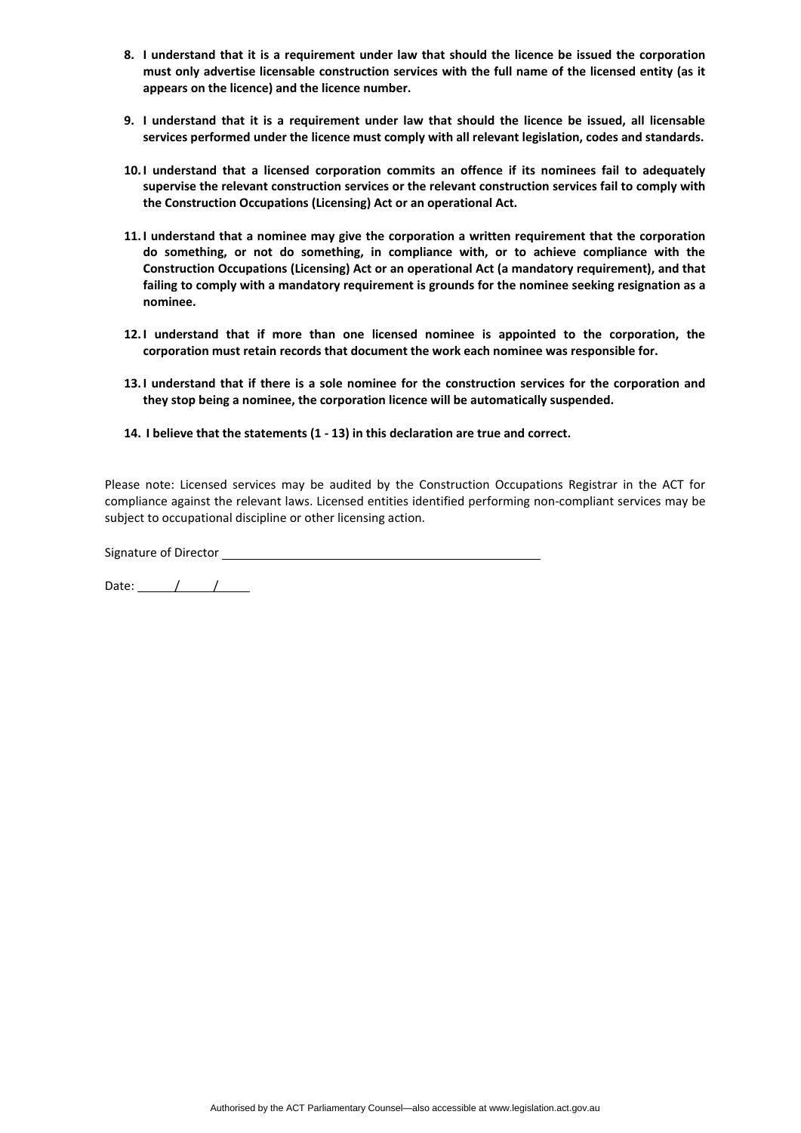- **8. I understand that it is a requirement under law that should the licence be issued the corporation must only advertise licensable construction services with the full name of the licensed entity (as it appears on the licence) and the licence number.**
- **9. I understand that it is a requirement under law that should the licence be issued, all licensable services performed under the licence must comply with all relevant legislation, codes and standards.**
- **10.I understand that a licensed corporation commits an offence if its nominees fail to adequately supervise the relevant construction services or the relevant construction services fail to comply with the Construction Occupations (Licensing) Act or an operational Act.**
- **11.I understand that a nominee may give the corporation a written requirement that the corporation do something, or not do something, in compliance with, or to achieve compliance with the Construction Occupations (Licensing) Act or an operational Act (a mandatory requirement), and that failing to comply with a mandatory requirement is grounds for the nominee seeking resignation as a nominee.**
- **12.I understand that if more than one licensed nominee is appointed to the corporation, the corporation must retain records that document the work each nominee was responsible for.**
- **13.I understand that if there is a sole nominee for the construction services for the corporation and they stop being a nominee, the corporation licence will be automatically suspended.**
- **14. I believe that the statements (1 - 13) in this declaration are true and correct.**

Please note: Licensed services may be audited by the Construction Occupations Registrar in the ACT for compliance against the relevant laws. Licensed entities identified performing non-compliant services may be subject to occupational discipline or other licensing action.

Signature of Director \_\_\_\_\_\_\_

Date: / /